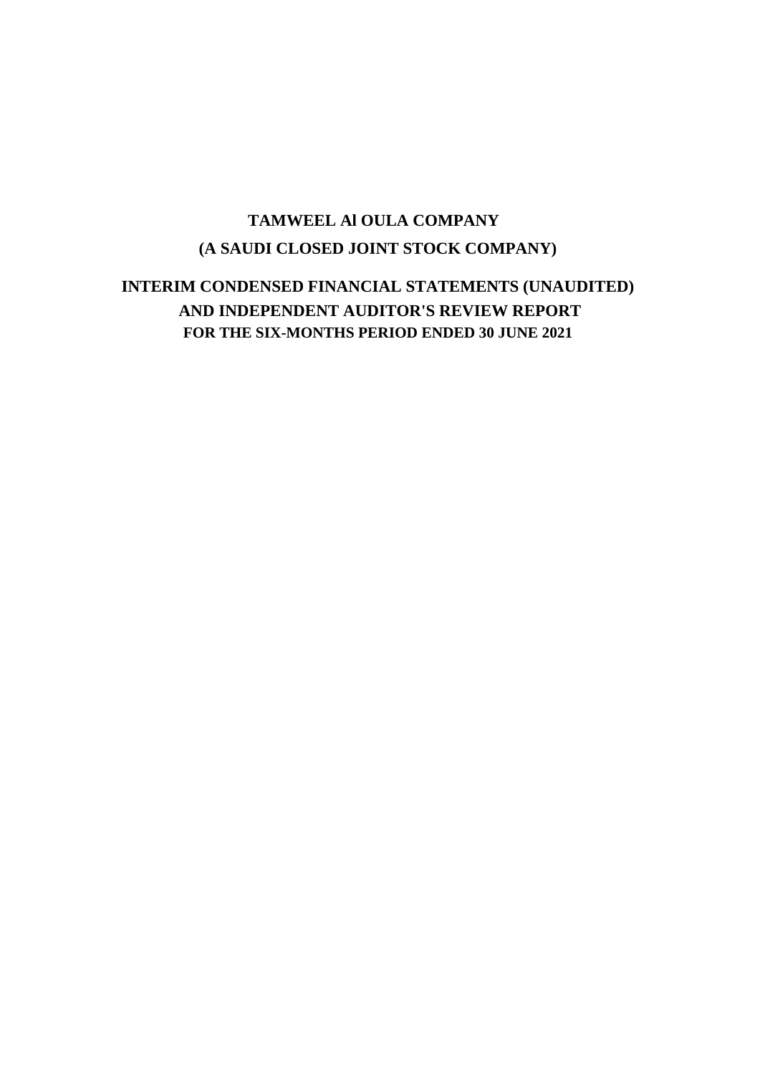# **(A SAUDI CLOSED JOINT STOCK COMPANY) TAMWEEL Al OULA COMPANY**

# **INTERIM CONDENSED FINANCIAL STATEMENTS (UNAUDITED) AND INDEPENDENT AUDITOR'S REVIEW REPORT FOR THE SIX-MONTHS PERIOD ENDED 30 JUNE 2021**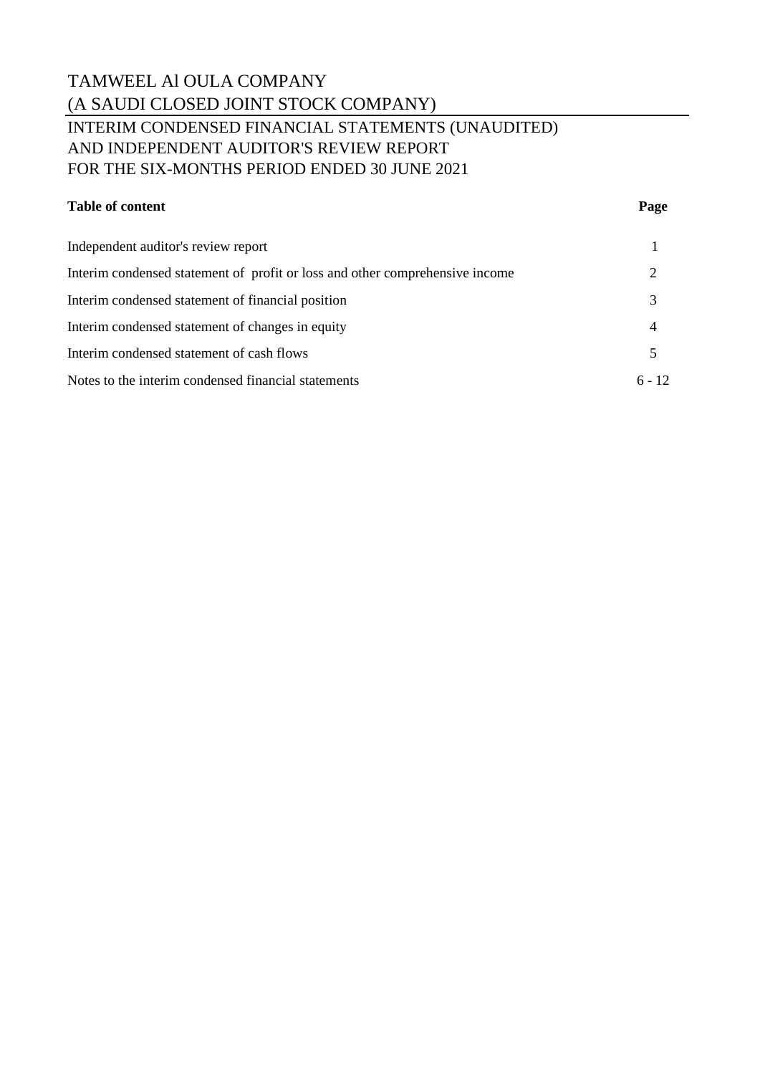## TAMWEEL Al OULA COMPANY (A SAUDI CLOSED JOINT STOCK COMPANY) INTERIM CONDENSED FINANCIAL STATEMENTS (UNAUDITED) AND INDEPENDENT AUDITOR'S REVIEW REPORT FOR THE SIX-MONTHS PERIOD ENDED 30 JUNE 2021

### **Table of content Page**

| Independent auditor's review report<br>Interim condensed statement of profit or loss and other comprehensive income<br>Interim condensed statement of financial position<br>Interim condensed statement of changes in equity<br>4<br>Interim condensed statement of cash flows |                                                     |          |
|--------------------------------------------------------------------------------------------------------------------------------------------------------------------------------------------------------------------------------------------------------------------------------|-----------------------------------------------------|----------|
|                                                                                                                                                                                                                                                                                |                                                     |          |
|                                                                                                                                                                                                                                                                                |                                                     |          |
|                                                                                                                                                                                                                                                                                |                                                     |          |
|                                                                                                                                                                                                                                                                                |                                                     |          |
|                                                                                                                                                                                                                                                                                |                                                     |          |
|                                                                                                                                                                                                                                                                                | Notes to the interim condensed financial statements | $6 - 12$ |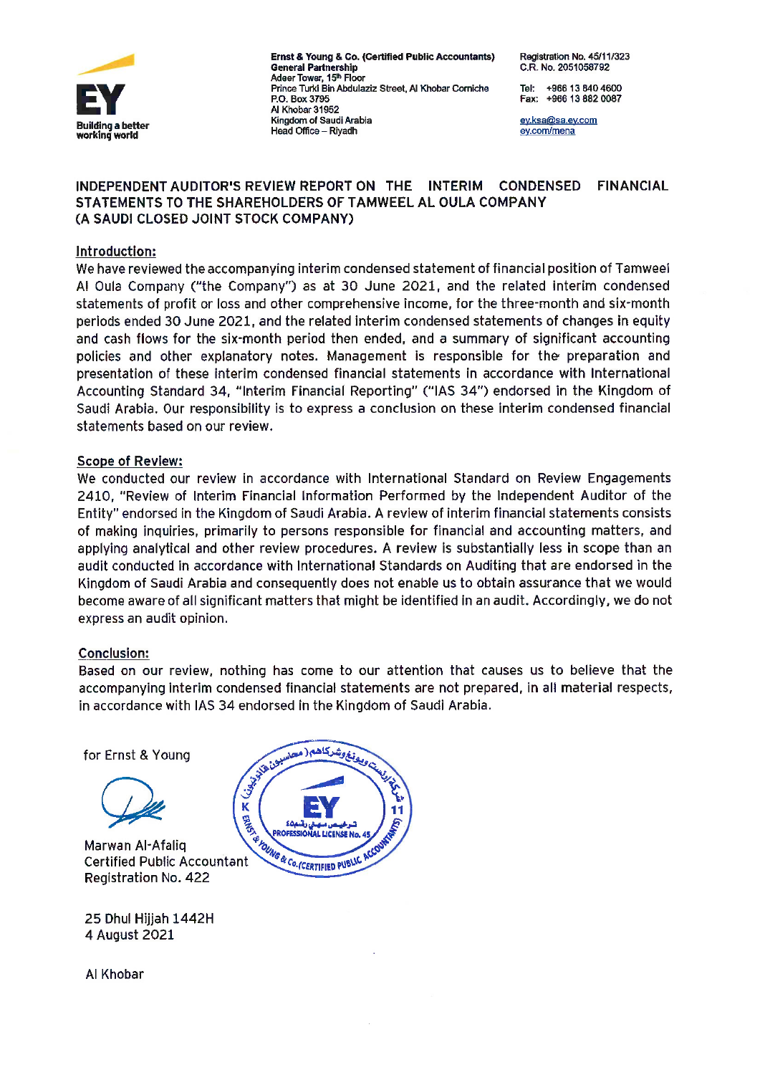

Ernst & Young & Co. (Certified Public Accountants) **General Partnership** Adeer Tower, 15<sup>th</sup> Floor Prince Turki Bin Abdulaziz Street, Al Khobar Corniche P.O. Box 3795 Al Khobar 31952 Kingdom of Saudi Arabia Head Office - Rivadh

Registration No. 45/11/323 C.R. No. 2051058792

Tel: +966 13 840 4600 Fax: +966 13 882 0087

ey.ksa@sa.ey.com ey.com/mena

#### INDEPENDENT AUDITOR'S REVIEW REPORT ON THE INTERIM CONDENSED **FINANCIAL** STATEMENTS TO THE SHAREHOLDERS OF TAMWEEL AL OULA COMPANY (A SAUDI CLOSED JOINT STOCK COMPANY)

#### Introduction:

We have reviewed the accompanying interim condensed statement of financial position of Tamweel Al Oula Company ("the Company") as at 30 June 2021, and the related interim condensed statements of profit or loss and other comprehensive income, for the three-month and six-month periods ended 30 June 2021, and the related interim condensed statements of changes in equity and cash flows for the six-month period then ended, and a summary of significant accounting policies and other explanatory notes. Management is responsible for the preparation and presentation of these interim condensed financial statements in accordance with International Accounting Standard 34, "Interim Financial Reporting" ("IAS 34") endorsed in the Kingdom of Saudi Arabia. Our responsibility is to express a conclusion on these interim condensed financial statements based on our review.

#### **Scope of Review:**

We conducted our review in accordance with International Standard on Review Engagements 2410, "Review of Interim Financial Information Performed by the Independent Auditor of the Entity" endorsed in the Kingdom of Saudi Arabia. A review of interim financial statements consists of making inquiries, primarily to persons responsible for financial and accounting matters, and applying analytical and other review procedures. A review is substantially less in scope than an audit conducted in accordance with International Standards on Auditing that are endorsed in the Kingdom of Saudi Arabia and consequently does not enable us to obtain assurance that we would become aware of all significant matters that might be identified in an audit. Accordingly, we do not express an audit opinion.

### **Conclusion:**

Based on our review, nothing has come to our attention that causes us to believe that the accompanying interim condensed financial statements are not prepared, in all material respects, in accordance with IAS 34 endorsed in the Kingdom of Saudi Arabia.

for Ernst & Young



Marwan Al-Afalig **Certified Public Accountant** Registration No. 422

25 Dhul Hijjah 1442H 4 August 2021



Al Khobar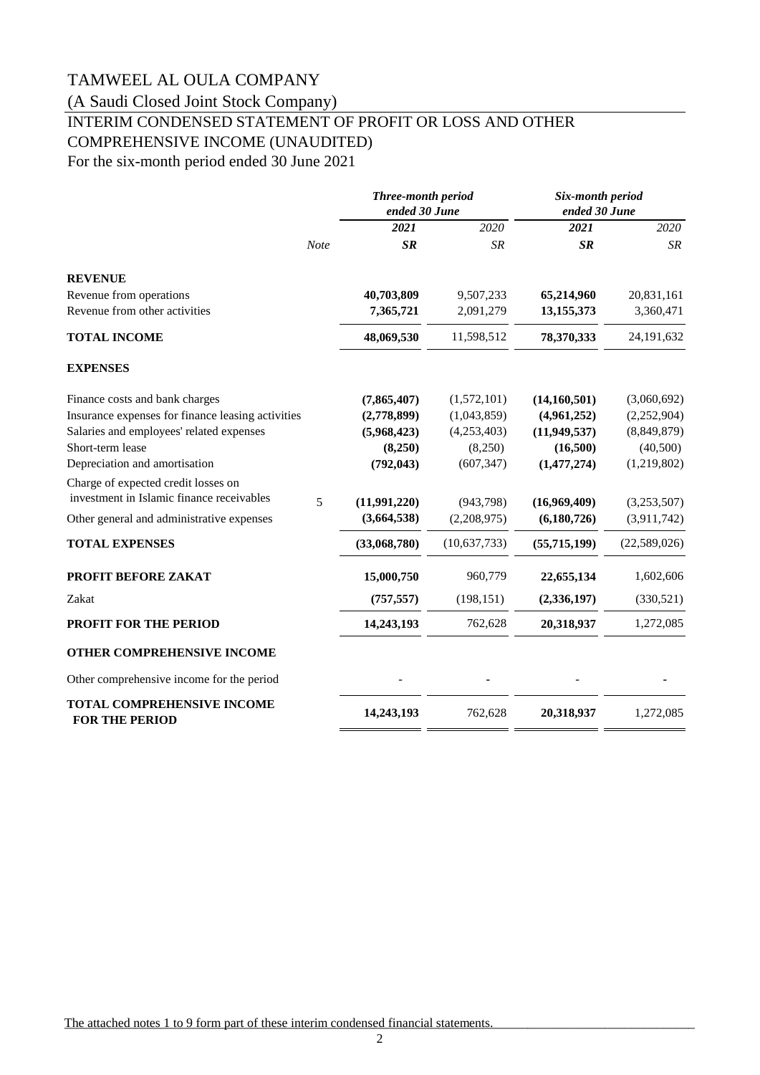(A Saudi Closed Joint Stock Company)

# INTERIM CONDENSED STATEMENT OF PROFIT OR LOSS AND OTHER COMPREHENSIVE INCOME (UNAUDITED)

For the six-month period ended 30 June 2021

|                                                                                  | Three-month period<br>ended 30 June |              | Six-month period<br>ended 30 June |              |
|----------------------------------------------------------------------------------|-------------------------------------|--------------|-----------------------------------|--------------|
|                                                                                  | 2021                                | 2020         | 2021                              | 2020         |
| Note                                                                             | SR                                  | <b>SR</b>    | <b>SR</b>                         | <b>SR</b>    |
| <b>REVENUE</b>                                                                   |                                     |              |                                   |              |
| Revenue from operations                                                          | 40,703,809                          | 9,507,233    | 65,214,960                        | 20,831,161   |
| Revenue from other activities                                                    | 7,365,721                           | 2,091,279    | 13,155,373                        | 3,360,471    |
| <b>TOTAL INCOME</b>                                                              | 48,069,530                          | 11,598,512   | 78,370,333                        | 24,191,632   |
| <b>EXPENSES</b>                                                                  |                                     |              |                                   |              |
| Finance costs and bank charges                                                   | (7,865,407)                         | (1,572,101)  | (14, 160, 501)                    | (3,060,692)  |
| Insurance expenses for finance leasing activities                                | (2,778,899)                         | (1,043,859)  | (4,961,252)                       | (2,252,904)  |
| Salaries and employees' related expenses                                         | (5,968,423)                         | (4,253,403)  | (11, 949, 537)                    | (8,849,879)  |
| Short-term lease                                                                 | (8,250)                             | (8,250)      | (16,500)                          | (40, 500)    |
| Depreciation and amortisation                                                    | (792, 043)                          | (607, 347)   | (1, 477, 274)                     | (1,219,802)  |
| Charge of expected credit losses on<br>investment in Islamic finance receivables |                                     |              |                                   |              |
| 5                                                                                | (11,991,220)                        | (943, 798)   | (16,969,409)                      | (3,253,507)  |
| Other general and administrative expenses                                        | (3,664,538)                         | (2,208,975)  | (6,180,726)                       | (3,911,742)  |
| <b>TOTAL EXPENSES</b>                                                            | (33,068,780)                        | (10,637,733) | (55,715,199)                      | (22,589,026) |
| PROFIT BEFORE ZAKAT                                                              | 15,000,750                          | 960,779      | 22,655,134                        | 1,602,606    |
| Zakat                                                                            | (757, 557)                          | (198, 151)   | (2, 336, 197)                     | (330,521)    |
| <b>PROFIT FOR THE PERIOD</b>                                                     | 14,243,193                          | 762,628      | 20,318,937                        | 1,272,085    |
| OTHER COMPREHENSIVE INCOME                                                       |                                     |              |                                   |              |
| Other comprehensive income for the period                                        |                                     |              |                                   |              |
| <b>TOTAL COMPREHENSIVE INCOME</b><br><b>FOR THE PERIOD</b>                       | 14,243,193                          | 762,628      | 20,318,937                        | 1,272,085    |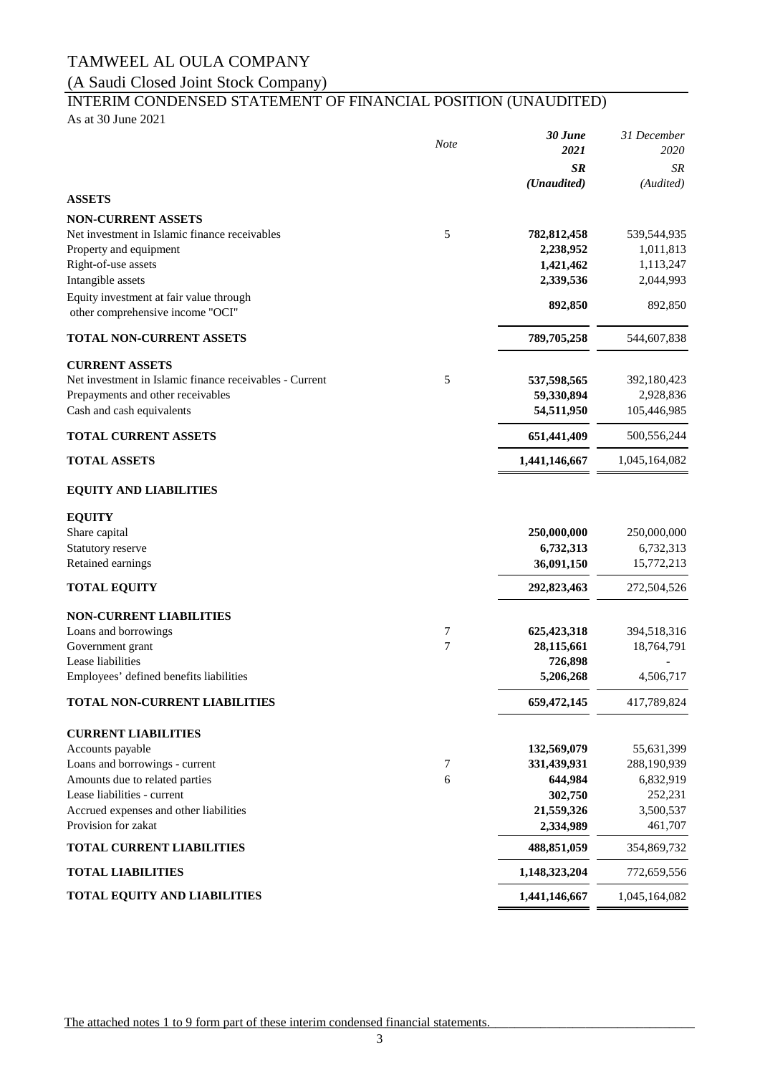### (A Saudi Closed Joint Stock Company)

# INTERIM CONDENSED STATEMENT OF FINANCIAL POSITION (UNAUDITED)

As at 30 June 2021

|                                                         | <b>Note</b> | 30 June       | 31 December   |
|---------------------------------------------------------|-------------|---------------|---------------|
|                                                         |             | 2021          | 2020          |
|                                                         |             | <b>SR</b>     | SR            |
|                                                         |             | (Unaudited)   | (Audited)     |
| <b>ASSETS</b>                                           |             |               |               |
| <b>NON-CURRENT ASSETS</b>                               |             |               |               |
| Net investment in Islamic finance receivables           | 5           | 782, 812, 458 | 539,544,935   |
| Property and equipment                                  |             | 2,238,952     | 1,011,813     |
| Right-of-use assets                                     |             | 1,421,462     | 1,113,247     |
| Intangible assets                                       |             | 2,339,536     | 2,044,993     |
| Equity investment at fair value through                 |             | 892,850       | 892,850       |
| other comprehensive income "OCI"                        |             |               |               |
| <b>TOTAL NON-CURRENT ASSETS</b>                         |             | 789,705,258   | 544,607,838   |
| <b>CURRENT ASSETS</b>                                   |             |               |               |
| Net investment in Islamic finance receivables - Current | 5           | 537,598,565   | 392,180,423   |
| Prepayments and other receivables                       |             | 59,330,894    | 2,928,836     |
| Cash and cash equivalents                               |             | 54,511,950    | 105,446,985   |
| <b>TOTAL CURRENT ASSETS</b>                             |             | 651,441,409   | 500,556,244   |
| <b>TOTAL ASSETS</b>                                     |             | 1,441,146,667 | 1,045,164,082 |
| <b>EQUITY AND LIABILITIES</b>                           |             |               |               |
|                                                         |             |               |               |
| <b>EQUITY</b>                                           |             |               |               |
| Share capital                                           |             | 250,000,000   | 250,000,000   |
| Statutory reserve                                       |             | 6,732,313     | 6,732,313     |
| Retained earnings                                       |             | 36,091,150    | 15,772,213    |
| <b>TOTAL EQUITY</b>                                     |             | 292,823,463   | 272,504,526   |
| <b>NON-CURRENT LIABILITIES</b>                          |             |               |               |
| Loans and borrowings                                    | 7           | 625,423,318   | 394,518,316   |
| Government grant                                        | 7           | 28,115,661    | 18,764,791    |
| Lease liabilities                                       |             | 726,898       |               |
| Employees' defined benefits liabilities                 |             | 5,206,268     | 4,506,717     |
| TOTAL NON-CURRENT LIABILITIES                           |             | 659,472,145   | 417,789,824   |
| <b>CURRENT LIABILITIES</b>                              |             |               |               |
| Accounts payable                                        |             | 132,569,079   | 55,631,399    |
| Loans and borrowings - current                          | 7           | 331,439,931   | 288,190,939   |
| Amounts due to related parties                          | 6           | 644,984       | 6,832,919     |
| Lease liabilities - current                             |             | 302,750       | 252,231       |
| Accrued expenses and other liabilities                  |             | 21,559,326    | 3,500,537     |
| Provision for zakat                                     |             | 2,334,989     | 461,707       |
| <b>TOTAL CURRENT LIABILITIES</b>                        |             | 488,851,059   | 354,869,732   |
| <b>TOTAL LIABILITIES</b>                                |             | 1,148,323,204 | 772,659,556   |
| TOTAL EQUITY AND LIABILITIES                            |             | 1,441,146,667 | 1,045,164,082 |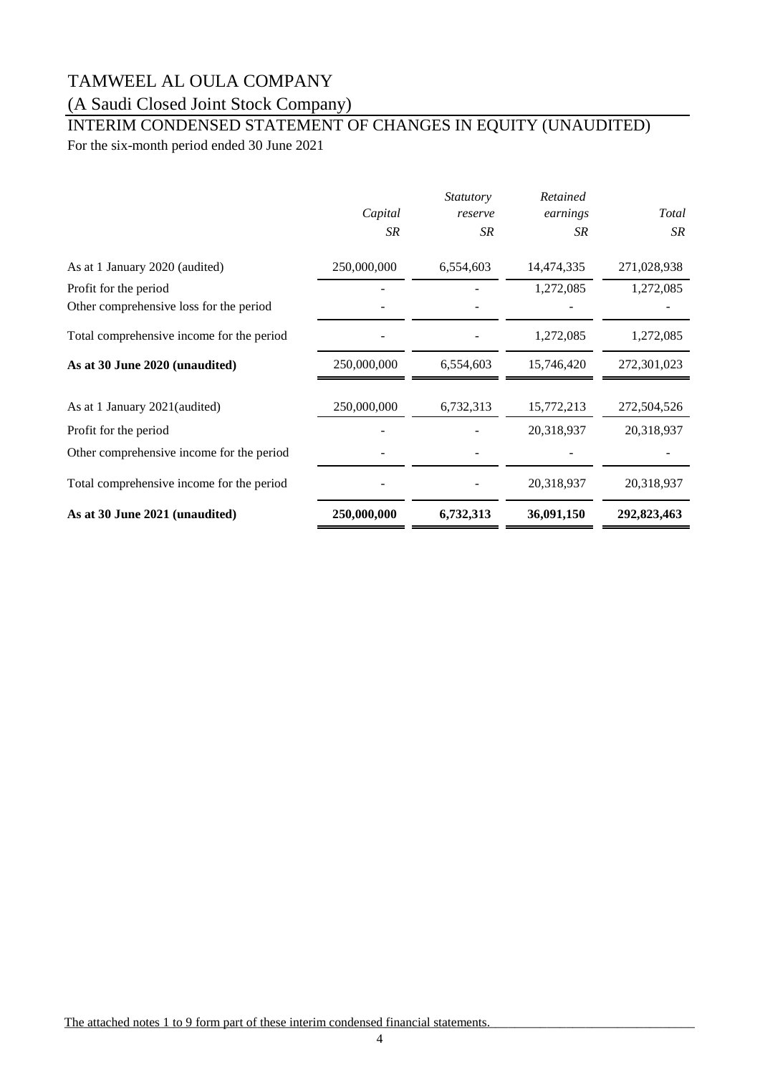### (A Saudi Closed Joint Stock Company)

### For the six-month period ended 30 June 2021 INTERIM CONDENSED STATEMENT OF CHANGES IN EQUITY (UNAUDITED)

*Capital Statutory reserve Retained earnings Total SR SR SR SR* As at 1 January 2020 (audited) 250,000,000 6,554,603 14,474,335 271,028,938 Profit for the period 1,272,085 1,272,085 Other comprehensive loss for the period Total comprehensive income for the period  $1,272,085$   $1,272,085$   $1,272,085$ **As at 30 June 2020 (unaudited)** 250,000,000 6,554,603 15,746,420 272,301,023 As at 1 January 2021(audited) 250,000,000 6,732,313 15,772,213 272,504,526 Profit for the period **20,318,937** 20,318,937 20,318,937 Other comprehensive income for the period - - - - Total comprehensive income for the period  $20,318,937$   $20,318,937$ As at 30 June 2021 (unaudited) 250,000,000 6,732,313 36,091,150 292,823,463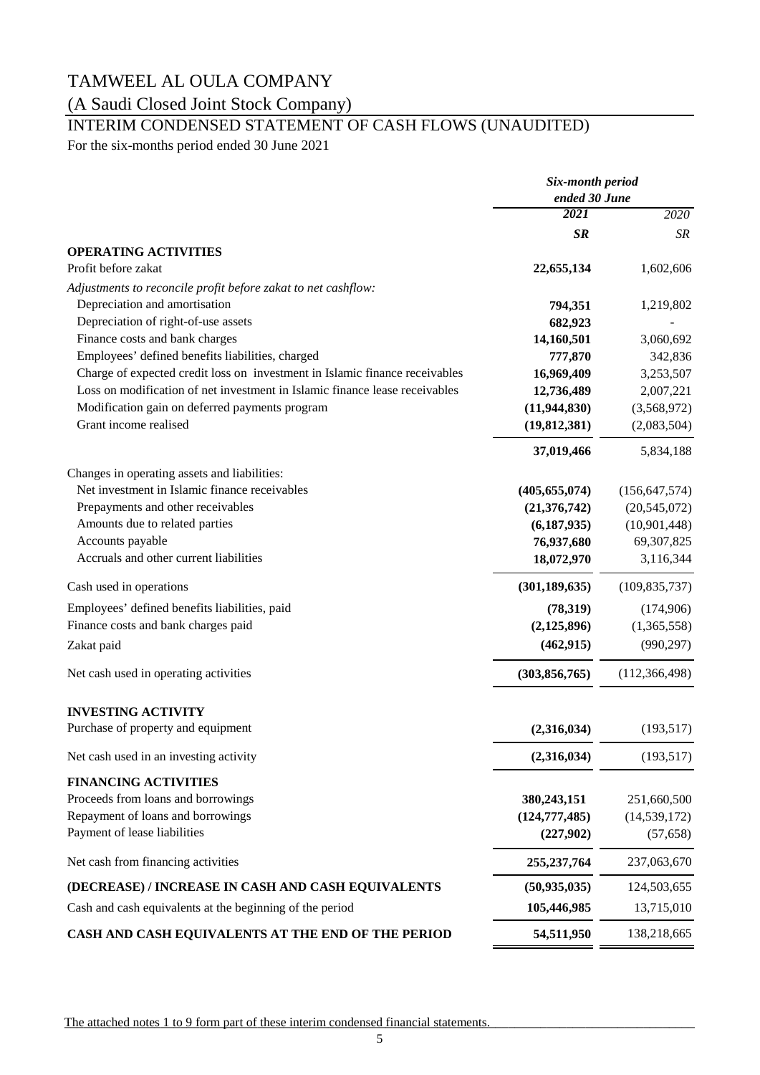### (A Saudi Closed Joint Stock Company)

# INTERIM CONDENSED STATEMENT OF CASH FLOWS (UNAUDITED)

For the six-months period ended 30 June 2021

|                                                                             | Six-month period<br>ended 30 June |                 |
|-----------------------------------------------------------------------------|-----------------------------------|-----------------|
|                                                                             |                                   |                 |
|                                                                             | 2021                              | 2020            |
|                                                                             | SR                                | SR              |
| <b>OPERATING ACTIVITIES</b>                                                 |                                   |                 |
| Profit before zakat                                                         | 22,655,134                        | 1,602,606       |
| Adjustments to reconcile profit before zakat to net cashflow:               |                                   |                 |
| Depreciation and amortisation                                               | 794,351                           | 1,219,802       |
| Depreciation of right-of-use assets                                         | 682,923                           |                 |
| Finance costs and bank charges                                              | 14,160,501                        | 3,060,692       |
| Employees' defined benefits liabilities, charged                            | 777,870                           | 342,836         |
| Charge of expected credit loss on investment in Islamic finance receivables | 16,969,409                        | 3,253,507       |
| Loss on modification of net investment in Islamic finance lease receivables | 12,736,489                        | 2,007,221       |
| Modification gain on deferred payments program                              | (11, 944, 830)                    | (3,568,972)     |
| Grant income realised                                                       | (19, 812, 381)                    | (2,083,504)     |
|                                                                             | 37,019,466                        | 5,834,188       |
| Changes in operating assets and liabilities:                                |                                   |                 |
| Net investment in Islamic finance receivables                               | (405, 655, 074)                   | (156, 647, 574) |
| Prepayments and other receivables                                           | (21, 376, 742)                    | (20, 545, 072)  |
| Amounts due to related parties                                              | (6, 187, 935)                     | (10,901,448)    |
| Accounts payable                                                            | 76,937,680                        | 69,307,825      |
| Accruals and other current liabilities                                      | 18,072,970                        | 3,116,344       |
| Cash used in operations                                                     | (301, 189, 635)                   | (109, 835, 737) |
| Employees' defined benefits liabilities, paid                               | (78, 319)                         | (174,906)       |
| Finance costs and bank charges paid                                         | (2, 125, 896)                     | (1,365,558)     |
| Zakat paid                                                                  | (462, 915)                        | (990, 297)      |
| Net cash used in operating activities                                       | (303, 856, 765)                   | (112, 366, 498) |
| <b>INVESTING ACTIVITY</b>                                                   |                                   |                 |
| Purchase of property and equipment                                          | (2,316,034)                       | (193, 517)      |
| Net cash used in an investing activity                                      | (2,316,034)                       | (193, 517)      |
| <b>FINANCING ACTIVITIES</b>                                                 |                                   |                 |
| Proceeds from loans and borrowings                                          | 380,243,151                       | 251,660,500     |
| Repayment of loans and borrowings                                           | (124, 777, 485)                   | (14, 539, 172)  |
| Payment of lease liabilities                                                | (227,902)                         | (57, 658)       |
| Net cash from financing activities                                          | 255, 237, 764                     | 237,063,670     |
| (DECREASE) / INCREASE IN CASH AND CASH EQUIVALENTS                          | (50, 935, 035)                    | 124,503,655     |
| Cash and cash equivalents at the beginning of the period                    | 105,446,985                       | 13,715,010      |
| CASH AND CASH EQUIVALENTS AT THE END OF THE PERIOD                          | 54,511,950                        | 138,218,665     |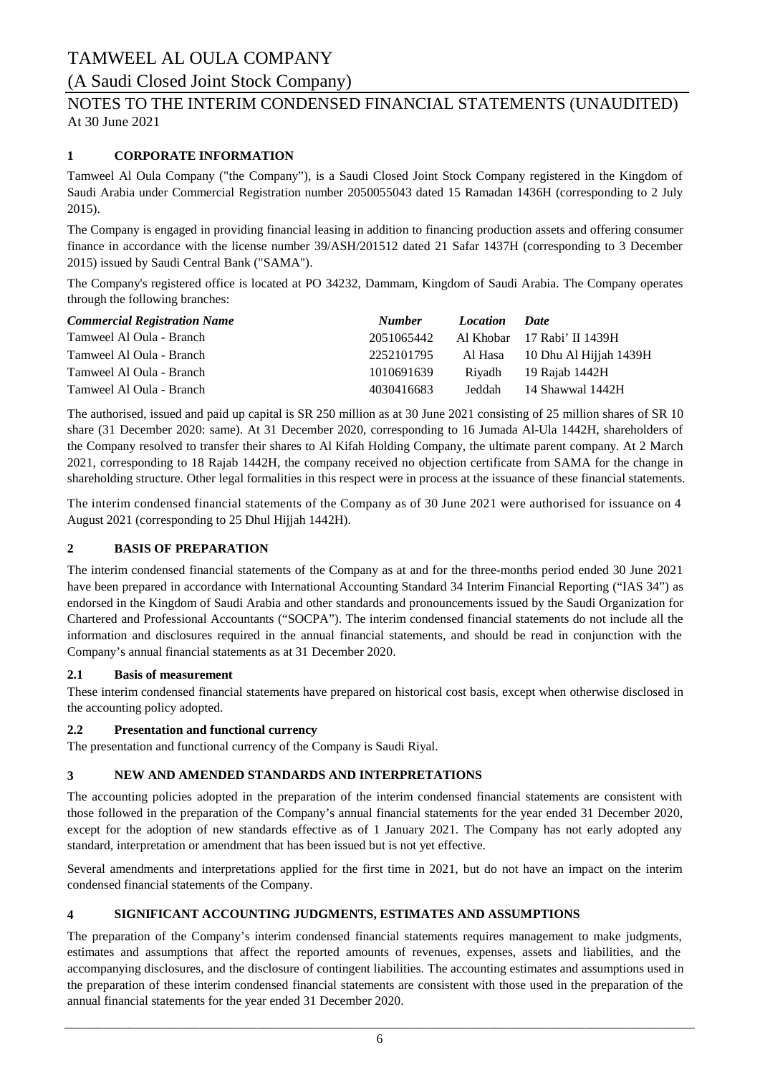### (A Saudi Closed Joint Stock Company)

### At 30 June 2021 NOTES TO THE INTERIM CONDENSED FINANCIAL STATEMENTS (UNAUDITED)

### **1 CORPORATE INFORMATION**

Tamweel Al Oula Company ("the Company"), is a Saudi Closed Joint Stock Company registered in the Kingdom of Saudi Arabia under Commercial Registration number 2050055043 dated 15 Ramadan 1436H (corresponding to 2 July 2015).

The Company is engaged in providing financial leasing in addition to financing production assets and offering consumer finance in accordance with the license number 39/ASH/201512 dated 21 Safar 1437H (corresponding to 3 December 2015) issued by Saudi Central Bank ("SAMA").

The Company's registered office is located at PO 34232, Dammam, Kingdom of Saudi Arabia. The Company operates through the following branches:

| <b>Commercial Registration Name</b> | <b>Number</b> | <i>Location</i> | <b>Date</b>                 |
|-------------------------------------|---------------|-----------------|-----------------------------|
| Tamweel Al Oula - Branch            | 2051065442    |                 | Al Khobar 17 Rabi' II 1439H |
| Tamweel Al Oula - Branch            | 2252101795    | Al Hasa         | 10 Dhu Al Hijjah 1439H      |
| Tamweel Al Oula - Branch            | 1010691639    | Rivadh          | 19 Rajab 1442H              |
| Tamweel Al Oula - Branch            | 4030416683    | Jeddah          | 14 Shawwal 1442H            |

The authorised, issued and paid up capital is SR 250 million as at 30 June 2021 consisting of 25 million shares of SR 10 share (31 December 2020: same). At 31 December 2020, corresponding to 16 Jumada Al-Ula 1442H, shareholders of the Company resolved to transfer their shares to Al Kifah Holding Company, the ultimate parent company. At 2 March 2021, corresponding to 18 Rajab 1442H, the company received no objection certificate from SAMA for the change in shareholding structure. Other legal formalities in this respect were in process at the issuance of these financial statements.

The interim condensed financial statements of the Company as of 30 June 2021 were authorised for issuance on 4 August 2021 (corresponding to 25 Dhul Hijjah 1442H).

### **2 BASIS OF PREPARATION**

The interim condensed financial statements of the Company as at and for the three-months period ended 30 June 2021 have been prepared in accordance with International Accounting Standard 34 Interim Financial Reporting ("IAS 34") as endorsed in the Kingdom of Saudi Arabia and other standards and pronouncements issued by the Saudi Organization for Chartered and Professional Accountants ("SOCPA"). The interim condensed financial statements do not include all the information and disclosures required in the annual financial statements, and should be read in conjunction with the Company's annual financial statements as at 31 December 2020.

#### **2.1 Basis of measurement**

These interim condensed financial statements have prepared on historical cost basis, except when otherwise disclosed in the accounting policy adopted.

#### **2.2 Presentation and functional currency**

The presentation and functional currency of the Company is Saudi Riyal.

#### **3 NEW AND AMENDED STANDARDS AND INTERPRETATIONS**

The accounting policies adopted in the preparation of the interim condensed financial statements are consistent with those followed in the preparation of the Company's annual financial statements for the year ended 31 December 2020, except for the adoption of new standards effective as of 1 January 2021. The Company has not early adopted any standard, interpretation or amendment that has been issued but is not yet effective.

Several amendments and interpretations applied for the first time in 2021, but do not have an impact on the interim condensed financial statements of the Company.

#### **4 SIGNIFICANT ACCOUNTING JUDGMENTS, ESTIMATES AND ASSUMPTIONS**

The preparation of the Company's interim condensed financial statements requires management to make judgments, estimates and assumptions that affect the reported amounts of revenues, expenses, assets and liabilities, and the accompanying disclosures, and the disclosure of contingent liabilities. The accounting estimates and assumptions used in the preparation of these interim condensed financial statements are consistent with those used in the preparation of the annual financial statements for the year ended 31 December 2020.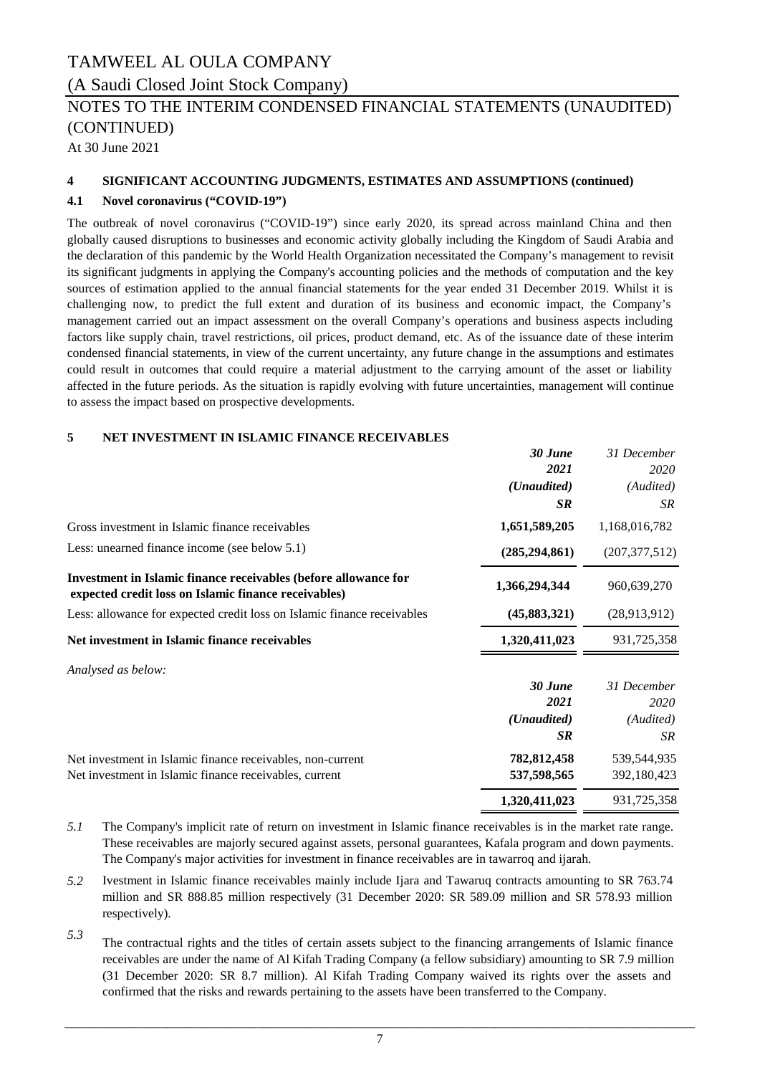(A Saudi Closed Joint Stock Company)

### NOTES TO THE INTERIM CONDENSED FINANCIAL STATEMENTS (UNAUDITED) (CONTINUED)

At 30 June 2021

#### **4 SIGNIFICANT ACCOUNTING JUDGMENTS, ESTIMATES AND ASSUMPTIONS (continued)**

#### **4.1 Novel coronavirus ("COVID-19")**

The outbreak of novel coronavirus ("COVID-19") since early 2020, its spread across mainland China and then globally caused disruptions to businesses and economic activity globally including the Kingdom of Saudi Arabia and the declaration of this pandemic by the World Health Organization necessitated the Company's management to revisit its significant judgments in applying the Company's accounting policies and the methods of computation and the key sources of estimation applied to the annual financial statements for the year ended 31 December 2019. Whilst it is challenging now, to predict the full extent and duration of its business and economic impact, the Company's management carried out an impact assessment on the overall Company's operations and business aspects including factors like supply chain, travel restrictions, oil prices, product demand, etc. As of the issuance date of these interim condensed financial statements, in view of the current uncertainty, any future change in the assumptions and estimates could result in outcomes that could require a material adjustment to the carrying amount of the asset or liability affected in the future periods. As the situation is rapidly evolving with future uncertainties, management will continue to assess the impact based on prospective developments.

#### **5 NET INVESTMENT IN ISLAMIC FINANCE RECEIVABLES**

|                                                                                                                         | 30 June         | 31 December     |
|-------------------------------------------------------------------------------------------------------------------------|-----------------|-----------------|
|                                                                                                                         | 2021            | 2020            |
|                                                                                                                         | (Unaudited)     | (Audited)       |
|                                                                                                                         | <b>SR</b>       | SR.             |
| Gross investment in Islamic finance receivables                                                                         | 1,651,589,205   | 1,168,016,782   |
| Less: unearned finance income (see below 5.1)                                                                           | (285, 294, 861) | (207, 377, 512) |
| Investment in Islamic finance receivables (before allowance for<br>expected credit loss on Islamic finance receivables) | 1,366,294,344   | 960,639,270     |
| Less: allowance for expected credit loss on Islamic finance receivables                                                 | (45,883,321)    | (28,913,912)    |
| Net investment in Islamic finance receivables                                                                           | 1,320,411,023   | 931,725,358     |
| Analysed as below:                                                                                                      |                 |                 |
|                                                                                                                         | 30 June         | 31 December     |
|                                                                                                                         | 2021            | 2020            |
|                                                                                                                         | (Unaudited)     | (Audited)       |
|                                                                                                                         | <b>SR</b>       | <b>SR</b>       |
| Net investment in Islamic finance receivables, non-current                                                              | 782,812,458     | 539,544,935     |
| Net investment in Islamic finance receivables, current                                                                  | 537,598,565     | 392,180,423     |
|                                                                                                                         | 1,320,411,023   | 931,725,358     |

- *5.1* The Company's implicit rate of return on investment in Islamic finance receivables is in the market rate range. These receivables are majorly secured against assets, personal guarantees, Kafala program and down payments. The Company's major activities for investment in finance receivables are in tawarroq and ijarah.
- *5.2* Ivestment in Islamic finance receivables mainly include Ijara and Tawaruq contracts amounting to SR 763.74 million and SR 888.85 million respectively (31 December 2020: SR 589.09 million and SR 578.93 million respectively).
- *5.3* The contractual rights and the titles of certain assets subject to the financing arrangements of Islamic finance receivables are under the name of Al Kifah Trading Company (a fellow subsidiary) amounting to SR 7.9 million (31 December 2020: SR 8.7 million). Al Kifah Trading Company waived its rights over the assets and confirmed that the risks and rewards pertaining to the assets have been transferred to the Company.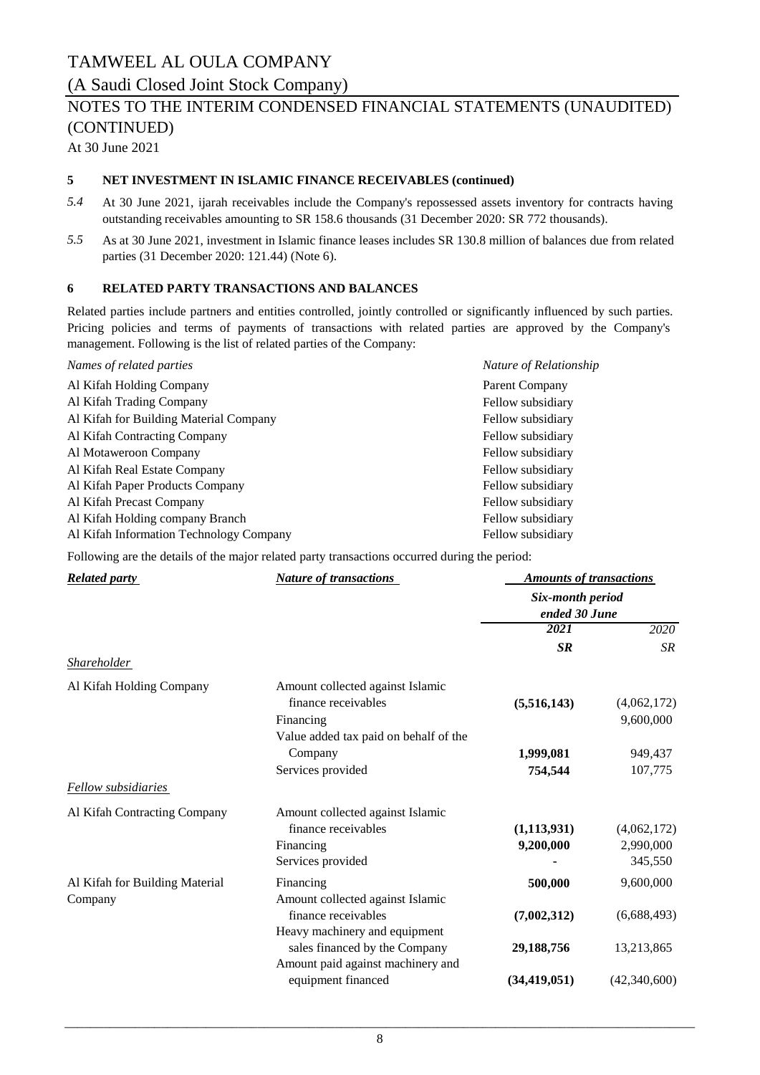(A Saudi Closed Joint Stock Company)

### NOTES TO THE INTERIM CONDENSED FINANCIAL STATEMENTS (UNAUDITED) (CONTINUED)

At 30 June 2021

#### **5 NET INVESTMENT IN ISLAMIC FINANCE RECEIVABLES (continued)**

- *5.4* At 30 June 2021, ijarah receivables include the Company's repossessed assets inventory for contracts having outstanding receivables amounting to SR 158.6 thousands (31 December 2020: SR 772 thousands).
- *5.5* As at 30 June 2021, investment in Islamic finance leases includes SR 130.8 million of balances due from related parties (31 December 2020: 121.44) (Note 6).

#### **6 RELATED PARTY TRANSACTIONS AND BALANCES**

Related parties include partners and entities controlled, jointly controlled or significantly influenced by such parties. Pricing policies and terms of payments of transactions with related parties are approved by the Company's management. Following is the list of related parties of the Company:

| Nature of Relationship |
|------------------------|
| Parent Company         |
| Fellow subsidiary      |
| Fellow subsidiary      |
| Fellow subsidiary      |
| Fellow subsidiary      |
| Fellow subsidiary      |
| Fellow subsidiary      |
| Fellow subsidiary      |
| Fellow subsidiary      |
| Fellow subsidiary      |
|                        |

Following are the details of the major related party transactions occurred during the period:

| <b>Related party</b>           | <b>Nature of transactions</b>         | <b>Amounts of transactions</b><br>Six-month period<br>ended 30 June |              |
|--------------------------------|---------------------------------------|---------------------------------------------------------------------|--------------|
|                                |                                       |                                                                     |              |
|                                |                                       | 2021                                                                | 2020         |
|                                |                                       | <b>SR</b>                                                           | <b>SR</b>    |
| <b>Shareholder</b>             |                                       |                                                                     |              |
| Al Kifah Holding Company       | Amount collected against Islamic      |                                                                     |              |
|                                | finance receivables                   | (5,516,143)                                                         | (4,062,172)  |
|                                | Financing                             |                                                                     | 9,600,000    |
|                                | Value added tax paid on behalf of the |                                                                     |              |
|                                | Company                               | 1,999,081                                                           | 949,437      |
|                                | Services provided                     | 754,544                                                             | 107,775      |
| <b>Fellow</b> subsidiaries     |                                       |                                                                     |              |
| Al Kifah Contracting Company   | Amount collected against Islamic      |                                                                     |              |
|                                | finance receivables                   | (1, 113, 931)                                                       | (4,062,172)  |
|                                | Financing                             | 9,200,000                                                           | 2,990,000    |
|                                | Services provided                     |                                                                     | 345,550      |
| Al Kifah for Building Material | Financing                             | 500,000                                                             | 9,600,000    |
| Company                        | Amount collected against Islamic      |                                                                     |              |
|                                | finance receivables                   | (7,002,312)                                                         | (6,688,493)  |
|                                | Heavy machinery and equipment         |                                                                     |              |
|                                | sales financed by the Company         | 29,188,756                                                          | 13,213,865   |
|                                | Amount paid against machinery and     |                                                                     |              |
|                                | equipment financed                    | (34, 419, 051)                                                      | (42,340,600) |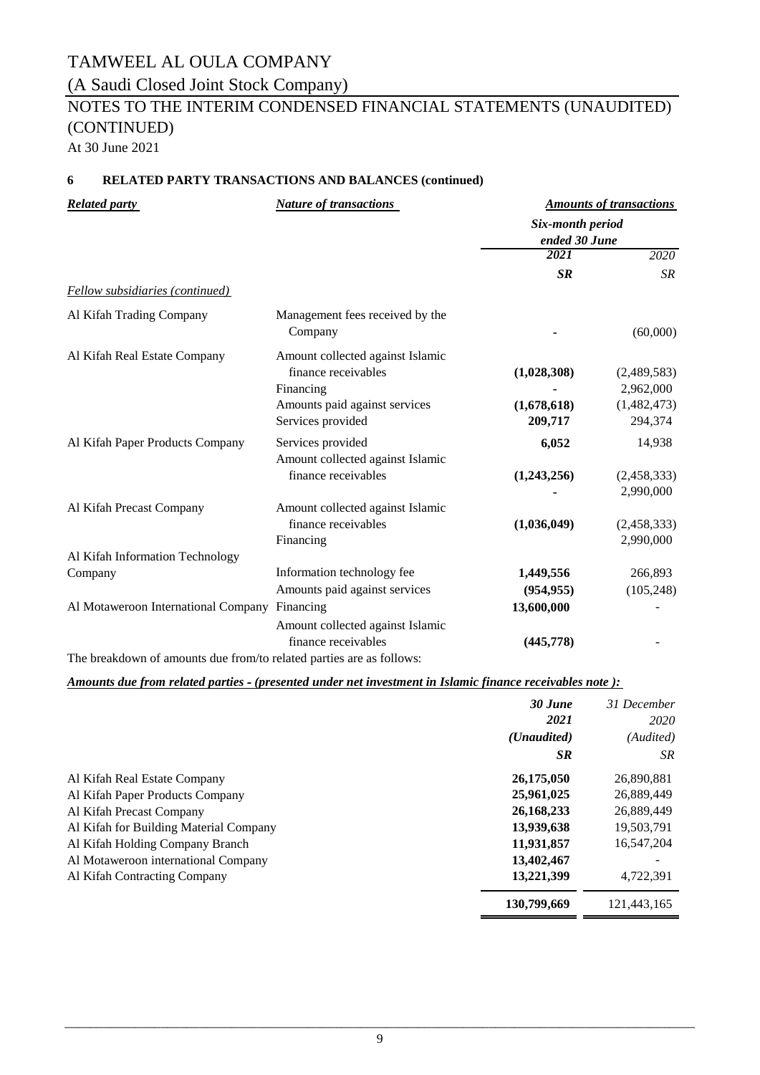(A Saudi Closed Joint Stock Company)

# NOTES TO THE INTERIM CONDENSED FINANCIAL STATEMENTS (UNAUDITED) (CONTINUED)

At 30 June 2021

#### **6 RELATED PARTY TRANSACTIONS AND BALANCES (continued)**

| <b>Related party</b>                                                 | <b>Nature of transactions</b>    |                                   | <b>Amounts of transactions</b> |  |
|----------------------------------------------------------------------|----------------------------------|-----------------------------------|--------------------------------|--|
|                                                                      |                                  | Six-month period<br>ended 30 June |                                |  |
|                                                                      |                                  | 2021                              | 2020                           |  |
|                                                                      |                                  | <b>SR</b>                         | <b>SR</b>                      |  |
| <b>Fellow subsidiaries (continued)</b>                               |                                  |                                   |                                |  |
| Al Kifah Trading Company                                             | Management fees received by the  |                                   |                                |  |
|                                                                      | Company                          |                                   | (60,000)                       |  |
| Al Kifah Real Estate Company                                         | Amount collected against Islamic |                                   |                                |  |
|                                                                      | finance receivables              | (1,028,308)                       | (2,489,583)                    |  |
|                                                                      | Financing                        |                                   | 2,962,000                      |  |
|                                                                      | Amounts paid against services    | (1,678,618)                       | (1,482,473)                    |  |
|                                                                      | Services provided                | 209,717                           | 294,374                        |  |
| Al Kifah Paper Products Company                                      | Services provided                | 6,052                             | 14,938                         |  |
|                                                                      | Amount collected against Islamic |                                   |                                |  |
|                                                                      | finance receivables              | (1,243,256)                       | (2,458,333)                    |  |
|                                                                      |                                  |                                   | 2,990,000                      |  |
| Al Kifah Precast Company                                             | Amount collected against Islamic |                                   |                                |  |
|                                                                      | finance receivables              | (1,036,049)                       | (2,458,333)                    |  |
|                                                                      | Financing                        |                                   | 2,990,000                      |  |
| Al Kifah Information Technology                                      |                                  |                                   |                                |  |
| Company                                                              | Information technology fee       | 1,449,556                         | 266,893                        |  |
|                                                                      | Amounts paid against services    | (954, 955)                        | (105, 248)                     |  |
| Al Motaweroon International Company                                  | Financing                        | 13,600,000                        |                                |  |
|                                                                      | Amount collected against Islamic |                                   |                                |  |
|                                                                      | finance receivables              | (445,778)                         |                                |  |
| The breakdown of amounts due from/to related parties are as follows: |                                  |                                   |                                |  |

#### *Amounts due from related parties ‑ (presented under net investment in Islamic finance receivables note ):*

|                                        | 30 June<br>2021      | 31 December<br>2020 |
|----------------------------------------|----------------------|---------------------|
|                                        | ( <i>Unaudited</i> ) | (Audited)           |
|                                        | <b>SR</b>            | SR.                 |
| Al Kifah Real Estate Company           | 26,175,050           | 26,890,881          |
| Al Kifah Paper Products Company        | 25,961,025           | 26,889,449          |
| Al Kifah Precast Company               | 26,168,233           | 26,889,449          |
| Al Kifah for Building Material Company | 13,939,638           | 19,503,791          |
| Al Kifah Holding Company Branch        | 11,931,857           | 16,547,204          |
| Al Motaweroon international Company    | 13,402,467           |                     |
| Al Kifah Contracting Company           | 13,221,399           | 4,722,391           |
|                                        | 130,799,669          | 121,443,165         |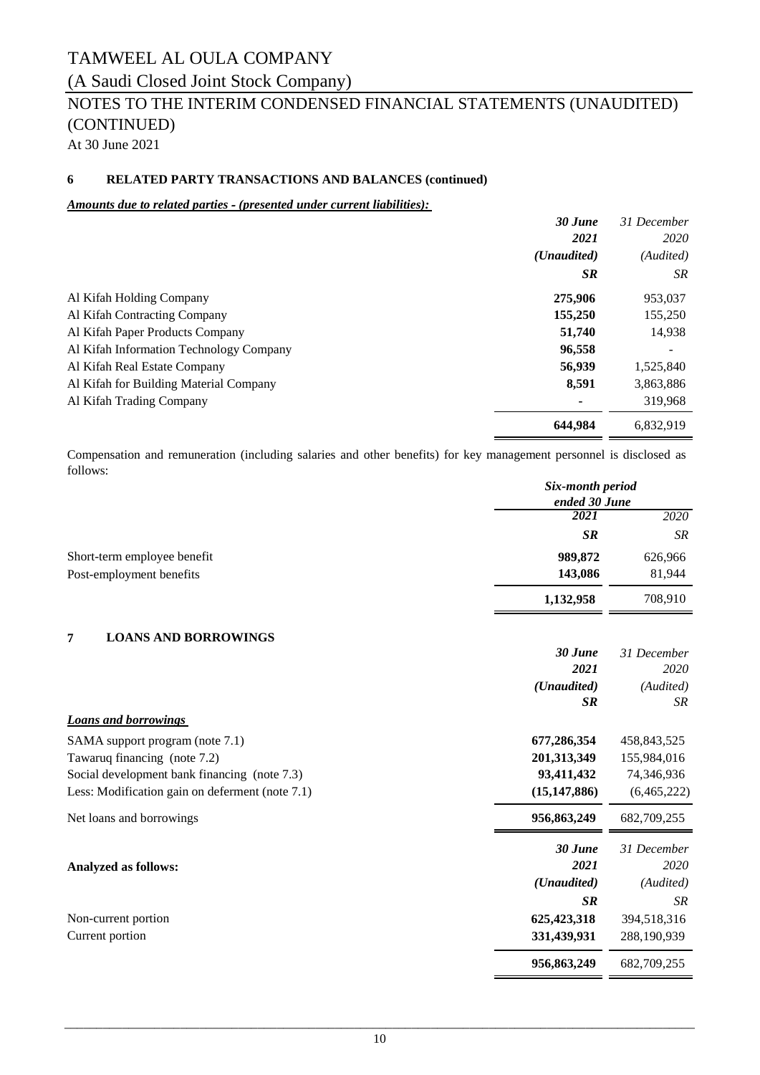### (A Saudi Closed Joint Stock Company)

# NOTES TO THE INTERIM CONDENSED FINANCIAL STATEMENTS (UNAUDITED) (CONTINUED)

At 30 June 2021

#### **6 RELATED PARTY TRANSACTIONS AND BALANCES (continued)**

#### *Amounts due to related parties ‑ (presented under current liabilities):*

| $30$ June                                         | 31 December |
|---------------------------------------------------|-------------|
| 2021                                              | 2020        |
| ( <i>Unaudited</i> )                              | (Audited)   |
| <b>SR</b>                                         | SR.         |
| 275,906<br>Al Kifah Holding Company               | 953,037     |
| 155,250<br>Al Kifah Contracting Company           | 155,250     |
| Al Kifah Paper Products Company<br>51,740         | 14,938      |
| 96,558<br>Al Kifah Information Technology Company |             |
| 56,939<br>Al Kifah Real Estate Company            | 1,525,840   |
| 8,591<br>Al Kifah for Building Material Company   | 3,863,886   |
| Al Kifah Trading Company                          | 319,968     |
| 644,984                                           | 6,832,919   |

*Six-month period* Compensation and remuneration (including salaries and other benefits) for key management personnel is disclosed as follows:

|                                                 | Six-month period      |               |
|-------------------------------------------------|-----------------------|---------------|
|                                                 | ended 30 June<br>2021 | 2020          |
|                                                 |                       |               |
|                                                 | <b>SR</b>             | <b>SR</b>     |
| Short-term employee benefit                     | 989,872               | 626,966       |
| Post-employment benefits                        | 143,086               | 81,944        |
|                                                 | 1,132,958             | 708,910       |
| <b>LOANS AND BORROWINGS</b><br>7                |                       |               |
|                                                 | 30 June               | 31 December   |
|                                                 | 2021                  | 2020          |
|                                                 | (Unaudited)           | (Audited)     |
|                                                 | <b>SR</b>             | <b>SR</b>     |
| <b>Loans and borrowings</b>                     |                       |               |
| SAMA support program (note 7.1)                 | 677,286,354           | 458,843,525   |
| Tawaruq financing (note 7.2)                    | 201,313,349           | 155,984,016   |
| Social development bank financing (note 7.3)    | 93,411,432            | 74,346,936    |
| Less: Modification gain on deferment (note 7.1) | (15, 147, 886)        | (6,465,222)   |
| Net loans and borrowings                        | 956,863,249           | 682, 709, 255 |
|                                                 | 30 June               | 31 December   |
| <b>Analyzed as follows:</b>                     | 2021                  | 2020          |
|                                                 | (Unaudited)           | (Audited)     |
|                                                 | <b>SR</b>             | <b>SR</b>     |
| Non-current portion                             | 625,423,318           | 394,518,316   |
| Current portion                                 | 331,439,931           | 288,190,939   |
|                                                 | 956,863,249           | 682,709,255   |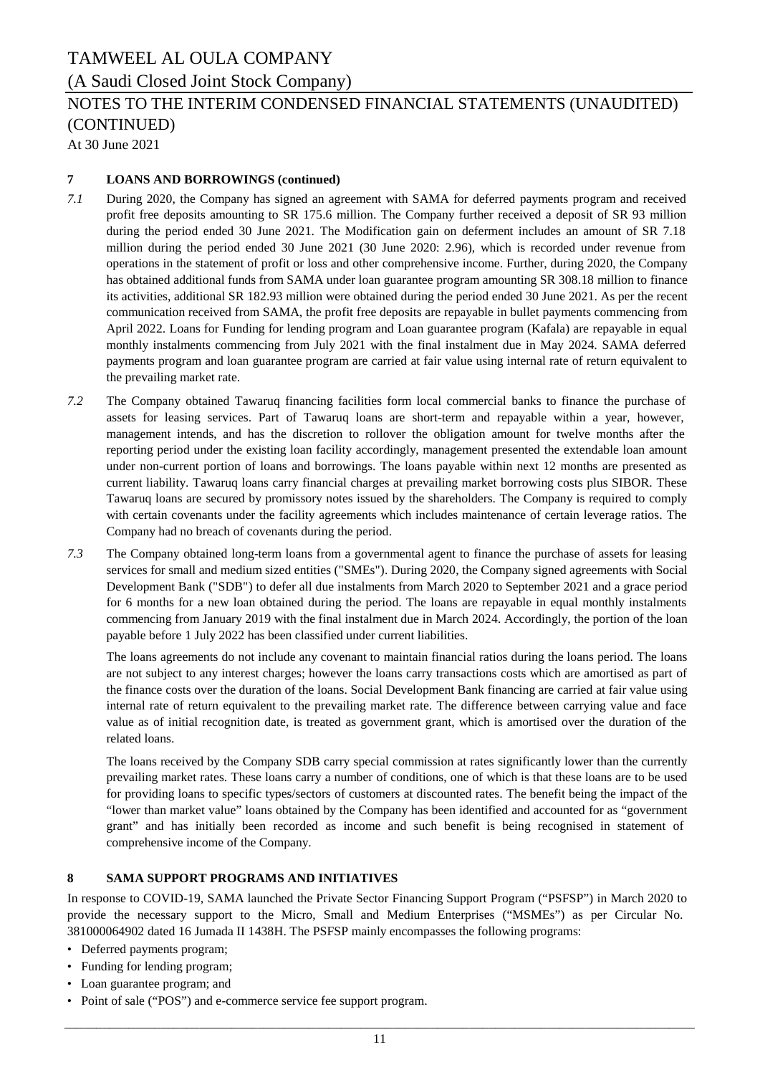### (A Saudi Closed Joint Stock Company)

# NOTES TO THE INTERIM CONDENSED FINANCIAL STATEMENTS (UNAUDITED) (CONTINUED)

At 30 June 2021

#### **7 LOANS AND BORROWINGS (continued)**

- *7.1* During 2020, the Company has signed an agreement with SAMA for deferred payments program and received profit free deposits amounting to SR 175.6 million. The Company further received a deposit of SR 93 million during the period ended 30 June 2021. The Modification gain on deferment includes an amount of SR 7.18 million during the period ended 30 June 2021 (30 June 2020: 2.96), which is recorded under revenue from operations in the statement of profit or loss and other comprehensive income. Further, during 2020, the Company has obtained additional funds from SAMA under loan guarantee program amounting SR 308.18 million to finance its activities, additional SR 182.93 million were obtained during the period ended 30 June 2021. As per the recent communication received from SAMA, the profit free deposits are repayable in bullet payments commencing from April 2022. Loans for Funding for lending program and Loan guarantee program (Kafala) are repayable in equal monthly instalments commencing from July 2021 with the final instalment due in May 2024. SAMA deferred payments program and loan guarantee program are carried at fair value using internal rate of return equivalent to the prevailing market rate.
- *7.2* The Company obtained Tawaruq financing facilities form local commercial banks to finance the purchase of assets for leasing services. Part of Tawaruq loans are short-term and repayable within a year, however, management intends, and has the discretion to rollover the obligation amount for twelve months after the reporting period under the existing loan facility accordingly, management presented the extendable loan amount under non-current portion of loans and borrowings. The loans payable within next 12 months are presented as current liability. Tawaruq loans carry financial charges at prevailing market borrowing costs plus SIBOR. These Tawaruq loans are secured by promissory notes issued by the shareholders. The Company is required to comply with certain covenants under the facility agreements which includes maintenance of certain leverage ratios. The Company had no breach of covenants during the period.
- *7.3* The Company obtained long-term loans from a governmental agent to finance the purchase of assets for leasing services for small and medium sized entities ("SMEs"). During 2020, the Company signed agreements with Social Development Bank ("SDB") to defer all due instalments from March 2020 to September 2021 and a grace period for 6 months for a new loan obtained during the period. The loans are repayable in equal monthly instalments commencing from January 2019 with the final instalment due in March 2024. Accordingly, the portion of the loan payable before 1 July 2022 has been classified under current liabilities.

The loans agreements do not include any covenant to maintain financial ratios during the loans period. The loans are not subject to any interest charges; however the loans carry transactions costs which are amortised as part of the finance costs over the duration of the loans. Social Development Bank financing are carried at fair value using internal rate of return equivalent to the prevailing market rate. The difference between carrying value and face value as of initial recognition date, is treated as government grant, which is amortised over the duration of the related loans.

The loans received by the Company SDB carry special commission at rates significantly lower than the currently prevailing market rates. These loans carry a number of conditions, one of which is that these loans are to be used for providing loans to specific types/sectors of customers at discounted rates. The benefit being the impact of the "lower than market value" loans obtained by the Company has been identified and accounted for as "government grant" and has initially been recorded as income and such benefit is being recognised in statement of comprehensive income of the Company.

### **8 SAMA SUPPORT PROGRAMS AND INITIATIVES**

In response to COVID-19, SAMA launched the Private Sector Financing Support Program ("PSFSP") in March 2020 to provide the necessary support to the Micro, Small and Medium Enterprises ("MSMEs") as per Circular No. 381000064902 dated 16 Jumada II 1438H. The PSFSP mainly encompasses the following programs:

- Deferred payments program;
- Funding for lending program;
- Loan guarantee program; and
- Point of sale ("POS") and e-commerce service fee support program.